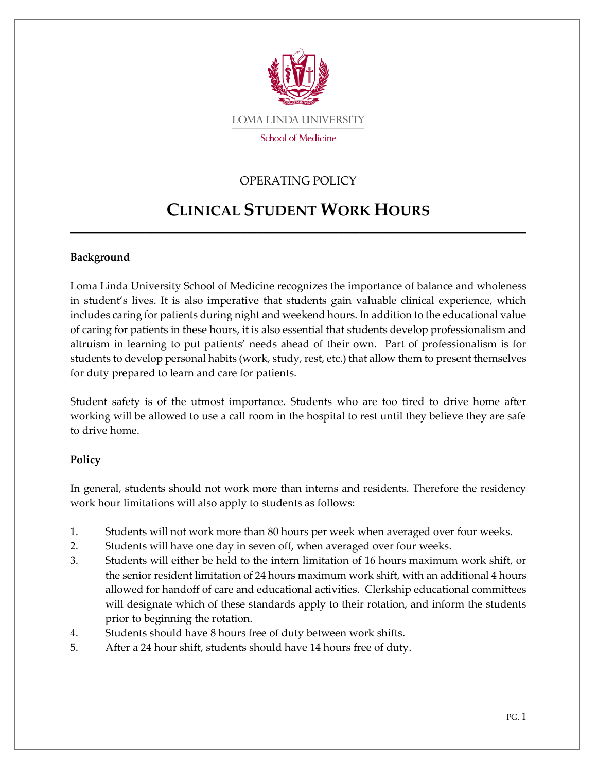

## OPERATING POLICY

## **CLINICAL STUDENT WORK HOURS**

\_\_\_\_\_\_\_\_\_\_\_\_\_\_\_\_\_\_\_\_\_\_\_\_\_\_\_\_\_\_\_\_\_\_\_\_\_\_\_\_\_\_\_\_\_\_\_\_\_\_\_\_\_\_\_\_\_\_\_\_\_\_\_\_\_\_\_\_\_\_\_\_\_\_\_\_\_\_\_\_\_\_\_\_\_

## **Background**

Loma Linda University School of Medicine recognizes the importance of balance and wholeness in student's lives. It is also imperative that students gain valuable clinical experience, which includes caring for patients during night and weekend hours. In addition to the educational value of caring for patients in these hours, it is also essential that students develop professionalism and altruism in learning to put patients' needs ahead of their own. Part of professionalism is for students to develop personal habits (work, study, rest, etc.) that allow them to present themselves for duty prepared to learn and care for patients.

Student safety is of the utmost importance. Students who are too tired to drive home after working will be allowed to use a call room in the hospital to rest until they believe they are safe to drive home.

## **Policy**

In general, students should not work more than interns and residents. Therefore the residency work hour limitations will also apply to students as follows:

- 1. Students will not work more than 80 hours per week when averaged over four weeks.
- 2. Students will have one day in seven off, when averaged over four weeks.
- 3. Students will either be held to the intern limitation of 16 hours maximum work shift, or the senior resident limitation of 24 hours maximum work shift, with an additional 4 hours allowed for handoff of care and educational activities. Clerkship educational committees will designate which of these standards apply to their rotation, and inform the students prior to beginning the rotation.
- 4. Students should have 8 hours free of duty between work shifts.
- 5. After a 24 hour shift, students should have 14 hours free of duty.